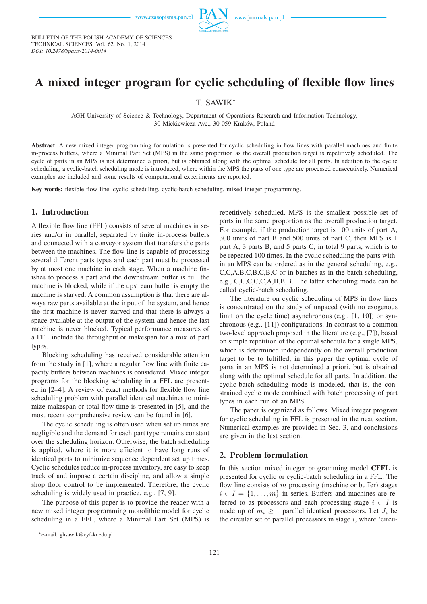

BULLETIN OF THE POLISH ACADEMY OF SCIENCES TECHNICAL SCIENCES, Vol. 62, No. 1, 2014 *DOI: 10.2478/bpasts-2014-0014*

# **A mixed integer program for cyclic scheduling of flexible flow lines**

## T. SAWIK<sup>∗</sup>

AGH University of Science & Technology, Department of Operations Research and Information Technology, 30 Mickiewicza Ave., 30-059 Kraków, Poland

**Abstract.** A new mixed integer programming formulation is presented for cyclic scheduling in flow lines with parallel machines and finite in-process buffers, where a Minimal Part Set (MPS) in the same proportion as the overall production target is repetitively scheduled. The cycle of parts in an MPS is not determined a priori, but is obtained along with the optimal schedule for all parts. In addition to the cyclic scheduling, a cyclic-batch scheduling mode is introduced, where within the MPS the parts of one type are processed consecutively. Numerical examples are included and some results of computational experiments are reported.

**Key words:** flexible flow line, cyclic scheduling, cyclic-batch scheduling, mixed integer programming.

#### **1. Introduction**

A flexible flow line (FFL) consists of several machines in series and/or in parallel, separated by finite in-process buffers and connected with a conveyor system that transfers the parts between the machines. The flow line is capable of processing several different parts types and each part must be processed by at most one machine in each stage. When a machine finishes to process a part and the downstream buffer is full the machine is blocked, while if the upstream buffer is empty the machine is starved. A common assumption is that there are always raw parts available at the input of the system, and hence the first machine is never starved and that there is always a space available at the output of the system and hence the last machine is never blocked. Typical performance measures of a FFL include the throughput or makespan for a mix of part types.

Blocking scheduling has received considerable attention from the study in [1], where a regular flow line with finite capacity buffers between machines is considered. Mixed integer programs for the blocking scheduling in a FFL are presented in [2–4]. A review of exact methods for flexible flow line scheduling problem with parallel identical machines to minimize makespan or total flow time is presented in [5], and the most recent comprehensive review can be found in [6].

The cyclic scheduling is often used when set up times are negligible and the demand for each part type remains constant over the scheduling horizon. Otherwise, the batch scheduling is applied, where it is more efficient to have long runs of identical parts to minimize sequence dependent set up times. Cyclic schedules reduce in-process inventory, are easy to keep track of and impose a certain discipline, and allow a simple shop floor control to be implemented. Therefore, the cyclic scheduling is widely used in practice, e.g., [7, 9].

The purpose of this paper is to provide the reader with a new mixed integer programming monolithic model for cyclic scheduling in a FFL, where a Minimal Part Set (MPS) is

repetitively scheduled. MPS is the smallest possible set of parts in the same proportion as the overall production target. For example, if the production target is 100 units of part A, 300 units of part B and 500 units of part C, then MPS is 1 part A, 3 parts B, and 5 parts C, in total 9 parts, which is to be repeated 100 times. In the cyclic scheduling the parts within an MPS can be ordered as in the general scheduling, e.g., C,C,A,B,C,B,C,B,C or in batches as in the batch scheduling, e.g., C,C,C,C,C,A,B,B,B. The latter scheduling mode can be called cyclic-batch scheduling.

The literature on cyclic scheduling of MPS in flow lines is concentrated on the study of unpaced (with no exogenous limit on the cycle time) asynchronous (e.g., [1, 10]) or synchronous (e.g., [11]) configurations. In contrast to a common two-level approach proposed in the literature (e.g., [7]), based on simple repetition of the optimal schedule for a single MPS, which is determined independently on the overall production target to be to fulfilled, in this paper the optimal cycle of parts in an MPS is not determined a priori, but is obtained along with the optimal schedule for all parts. In addition, the cyclic-batch scheduling mode is modeled, that is, the constrained cyclic mode combined with batch processing of part types in each run of an MPS.

The paper is organized as follows. Mixed integer program for cyclic scheduling in FFL is presented in the next section. Numerical examples are provided in Sec. 3, and conclusions are given in the last section.

#### **2. Problem formulation**

In this section mixed integer programming model **CFFL** is presented for cyclic or cyclic-batch scheduling in a FFL. The flow line consists of  $m$  processing (machine or buffer) stages  $i \in I = \{1, \ldots, m\}$  in series. Buffers and machines are referred to as processors and each processing stage  $i \in I$  is made up of  $m_i \geq 1$  parallel identical processors. Let  $J_i$  be the circular set of parallel processors in stage  $i$ , where 'circu-

<sup>∗</sup>e-mail: ghsawik@cyf-kr.edu.pl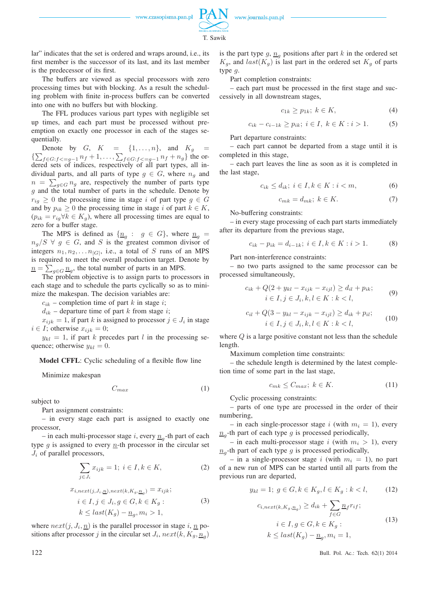

T. Sawik

lar" indicates that the set is ordered and wraps around, i.e., its first member is the successor of its last, and its last member is the predecessor of its first.

The buffers are viewed as special processors with zero processing times but with blocking. As a result the scheduling problem with finite in-process buffers can be converted into one with no buffers but with blocking.

The FFL produces various part types with negligible set up times, and each part must be processed without preemption on exactly one processor in each of the stages sequentially.

Denote by  $G, K = \{1, \ldots, n\}$ , and  $K_g =$  $\{\sum_{f \in G: f <=g-1} n_f + 1, \ldots, \sum_{f \in G: f <=g-1} n_f + n_g\}$  the ordered sets of indices, respectively of all part types, all individual parts, and all parts of type  $g \in G$ , where  $n_g$  and  $n = \sum_{g \in G} n_g$  are, respectively the number of parts type  $g$  and the total number of parts in the schedule. Denote by  $r_{ig} \geq 0$  the processing time in stage i of part type  $g \in G$ and by  $p_{ik} \geq 0$  the processing time in stage i of part  $k \in K$ ,  $(p_{ik} = r_{iq} \forall k \in K_g)$ , where all processing times are equal to zero for a buffer stage.

The MPS is defined as  $\{\underline{n}_g : g \in G\}$ , where  $\underline{n}_g =$  $n_q/S \forall g \in G$ , and S is the greatest common divisor of integers  $n_1, n_2, \ldots n_{|G|}$ , i.e., a total of S runs of an MPS is required to meet the overall production target. Denote by  $\underline{n} = \sum_{g \in G} \underline{n}_g$ , the total number of parts in an MPS.

The problem objective is to assign parts to processors in each stage and to schedule the parts cyclically so as to minimize the makespan. The decision variables are:

 $c_{ik}$  – completion time of part k in stage i;

 $d_{ik}$  – departure time of part k from stage i;

 $x_{ijk} = 1$ , if part k is assigned to processor  $j \in J_i$  in stage  $i \in I$ ; otherwise  $x_{ijk} = 0$ ;

 $y_{kl} = 1$ , if part k precedes part l in the processing sequence; otherwise  $y_{kl} = 0$ .

**Model CFFL**: Cyclic scheduling of a flexible flow line

Minimize makespan

$$
C_{max} \tag{1}
$$

subject to

Part assignment constraints:

– in every stage each part is assigned to exactly one processor,

– in each multi-processor stage *i*, every  $\underline{n}_g$ -th part of each type  $q$  is assigned to every *n*-th processor in the circular set  $J_i$  of parallel processors,

$$
\sum_{j \in J_i} x_{ijk} = 1; \ i \in I, k \in K,
$$
 (2)

$$
x_{i, next(j, J_i, \underline{n}), next(k, K_g, \underline{n}_g)} = x_{ijk};
$$
  
\n
$$
i \in I, j \in J_i, g \in G, k \in K_g :
$$
  
\n
$$
k \leq last(K_g) - \underline{n}_g, m_i > 1,
$$
  
\n(3)

where  $next(j, J_i, \underline{n})$  is the parallel processor in stage i,  $\underline{n}$  positions after processor j in the circular set  $J_i$ ,  $next(k, K_g, \underline{n}_g)$ 

is the part type g,  $\underline{n}_g$  positions after part k in the ordered set  $K_g$ , and  $last(K_g)$  is last part in the ordered set  $K_g$  of parts type g.

Part completion constraints:

– each part must be processed in the first stage and successively in all downstream stages,

$$
c_{1k} \ge p_{1k}; \ k \in K,\tag{4}
$$

$$
c_{ik} - c_{i-1k} \ge p_{ik}; \ i \in I, \ k \in K : i > 1.
$$
 (5)

Part departure constraints:

– each part cannot be departed from a stage until it is completed in this stage,

– each part leaves the line as soon as it is completed in the last stage,

$$
c_{ik} \le d_{ik}; \ i \in I, k \in K : i < m,\tag{6}
$$

$$
c_{mk} = d_{mk}; \ k \in K. \tag{7}
$$

No-buffering constraints:

– in every stage processing of each part starts immediately after its departure from the previous stage,

$$
c_{ik} - p_{ik} = d_{i-1k}; \ i \in I, k \in K : i > 1.
$$
 (8)

Part non-interference constraints:

– no two parts assigned to the same processor can be processed simultaneously,

$$
c_{ik} + Q(2 + y_{kl} - x_{ijk} - x_{ijl}) \ge d_{il} + p_{ik};
$$
  
\n
$$
i \in I, j \in J_i, k, l \in K : k < l,
$$
\n(9)

$$
c_{il} + Q(3 - y_{kl} - x_{ijk} - x_{ijl}) \ge d_{ik} + p_{il};
$$
  
\n
$$
i \in I, j \in J_i, k, l \in K : k < l,
$$
 (10)

where Q is a large positive constant not less than the schedule length.

Maximum completion time constraints:

– the schedule length is determined by the latest completion time of some part in the last stage,

$$
c_{mk} \le C_{max}; \ k \in K. \tag{11}
$$

Cyclic processing constraints:

– parts of one type are processed in the order of their numbering,

– in each single-processor stage i (with  $m_i = 1$ ), every  $n_g$ -th part of each type g is processed periodically,

– in each multi-processor stage i (with  $m_i > 1$ ), every  $n_g$ -th part of each type g is processed periodically,

– in a single-processor stage i (with  $m_i = 1$ ), no part of a new run of MPS can be started until all parts from the previous run are departed,

$$
y_{kl} = 1; \ g \in G, k \in K_g, l \in K_g : k < l,\tag{12}
$$

$$
c_{i,next(k,K_g,\underline{n}_g)} \ge d_{ik} + \sum_{f \in G} \underline{n}_f r_{if};
$$
  
\n
$$
i \in I, g \in G, k \in K_g:
$$
  
\n
$$
k \le last(K_g) - \underline{n}_g, m_i = 1,
$$
\n(13)

122 Bull. Pol. Ac.: Tech. 62(1) 2014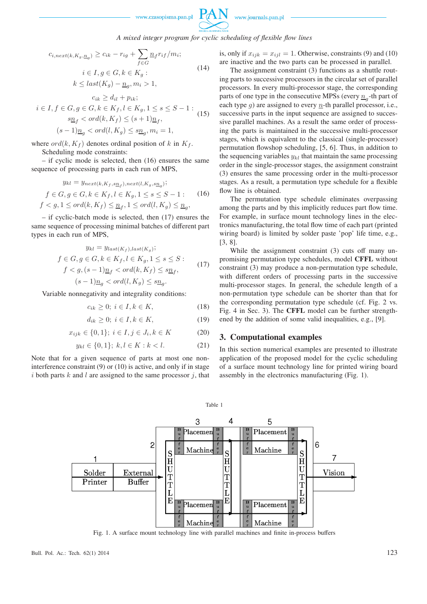

### *A mixed integer program for cyclic scheduling of flexible flow lines*

$$
c_{i, next(k, K_g, \underline{n}_g)} \ge c_{ik} - r_{ig} + \sum_{f \in G} \underline{n}_f r_{if}/m_i;
$$
  
\n
$$
i \in I, g \in G, k \in K_g:
$$
  
\n
$$
k \le last(K_g) - \underline{n}_g, m_i > 1,
$$
  
\n
$$
c_{ik} > d_{il} + p_{ik};
$$
  
\n(14)

$$
i \in I, f \in G, g \in G, k \in K_f, l \in K_g, 1 \le s \le S - 1:
$$
  
\n
$$
s\underline{n}_f < \operatorname{ord}(k, K_f) \le (s + 1)\underline{n}_f,
$$
  
\n
$$
(s - 1)\underline{n}_g < \operatorname{ord}(l, K_g) \le s\underline{n}_g, m_i = 1,
$$
\n(15)

where  $ord(k, K_f)$  denotes ordinal position of k in  $K_f$ .

Scheduling mode constraints:

– if cyclic mode is selected, then (16) ensures the same sequence of processing parts in each run of MPS,

$$
y_{kl} = y_{next(k, K_f, s\underline{n}_f), next(l, K_g, s\underline{n}_g)};
$$
  

$$
f \in G, g \in G, k \in K_f, l \in K_g, 1 \le s \le S - 1:
$$
 (16)  

$$
f < g, 1 \le ord(k, K_f) \le \underline{n}_f, 1 \le ord(l, K_g) \le \underline{n}_g,
$$

– if cyclic-batch mode is selected, then (17) ensures the same sequence of processing minimal batches of different part types in each run of MPS,

$$
y_{kl} = y_{last(K_f), last(K_g)};
$$
  
\n
$$
f \in G, g \in G, k \in K_f, l \in K_g, 1 \le s \le S:
$$
  
\n
$$
f < g, (s-1)\underline{n}_f < ord(k, K_f) \le s\underline{n}_f,
$$
  
\n
$$
(s-1)\underline{n}_g < ord(l, K_g) \le s\underline{n}_g.
$$
\n
$$
(17)
$$

Variable nonnegativity and integrality conditions:

$$
c_{ik} \ge 0; i \in I, k \in K,
$$
\n<sup>(18)</sup>

$$
d_{ik} \ge 0; i \in I, k \in K,
$$
\n<sup>(19)</sup>

$$
x_{ijk} \in \{0, 1\}; \ i \in I, j \in J_i, k \in K \tag{20}
$$

$$
y_{kl} \in \{0, 1\}; \ k, l \in K : k < l. \tag{21}
$$

Note that for a given sequence of parts at most one noninterference constraint (9) or (10) is active, and only if in stage  $i$  both parts  $k$  and  $l$  are assigned to the same processor  $j$ , that is, only if  $x_{ijk} = x_{ijl} = 1$ . Otherwise, constraints (9) and (10) are inactive and the two parts can be processed in parallel.

The assignment constraint (3) functions as a shuttle routing parts to successive processors in the circular set of parallel processors. In every multi-processor stage, the corresponding parts of one type in the consecutive MPSs (every  $\underline{n}_g$ -th part of each type g) are assigned to every  $n$ -th parallel processor, i.e., successive parts in the input sequence are assigned to successive parallel machines. As a result the same order of processing the parts is maintained in the successive multi-processor stages, which is equivalent to the classical (single-processor) permutation flowshop scheduling, [5, 6]. Thus, in addition to the sequencing variables  $y_{kl}$  that maintain the same processing order in the single-processor stages, the assignment constraint (3) ensures the same processing order in the multi-processor stages. As a result, a permutation type schedule for a flexible flow line is obtained.

The permutation type schedule eliminates overpassing among the parts and by this implicitly reduces part flow time. For example, in surface mount technology lines in the electronics manufacturing, the total flow time of each part (printed wiring board) is limited by solder paste 'pop' life time, e.g., [3, 8].

While the assignment constraint (3) cuts off many unpromising permutation type schedules, model **CFFL** without constraint (3) may produce a non-permutation type schedule, with different orders of processing parts in the successive multi-processor stages. In general, the schedule length of a non-permutation type schedule can be shorter than that for the corresponding permutation type schedule (cf. Fig. 2 vs. Fig. 4 in Sec. 3). The **CFFL** model can be further strengthened by the addition of some valid inequalities, e.g., [9].

#### **3. Computational examples**

In this section numerical examples are presented to illustrate application of the proposed model for the cyclic scheduling of a surface mount technology line for printed wiring board assembly in the electronics manufacturing (Fig. 1).



Table 1

Fig. 1. A surface mount technology line with parallel machines and finite in-process buffers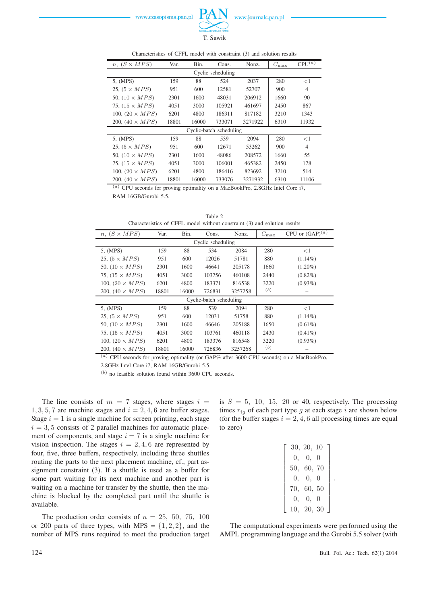$\overline{a}$ 

www.journals.pan.pl

| $n, (S \times MPS)$    | Var.  | Bin.  | Cons.                   | Nonz.   | $C_{\rm max}$ | CPU <sup>(a)</sup> |
|------------------------|-------|-------|-------------------------|---------|---------------|--------------------|
|                        |       |       | Cyclic scheduling       |         |               |                    |
| 5, (MPS)               | 159   | 88    | 524                     | 2037    | 280           | $<$ 1              |
| 25, $(5 \times MPS)$   | 951   | 600   | 12581                   | 52707   | 900           | $\overline{4}$     |
| 50, $(10 \times MPS)$  | 2301  | 1600  | 48031                   | 206912  | 1660          | 90                 |
| 75, $(15 \times MPS)$  | 4051  | 3000  | 105921                  | 461697  | 2450          | 867                |
| 100, $(20 \times MPS)$ | 6201  | 4800  | 186311                  | 817182  | 3210          | 1343               |
| 200, $(40 \times MPS)$ | 18801 | 16000 | 733071                  | 3271922 | 6310          | 11932              |
|                        |       |       | Cyclic-batch scheduling |         |               |                    |
| 5, (MPS)               | 159   | 88    | 539                     | 2094    | 280           | $<$ 1              |
| 25, $(5 \times MPS)$   | 951   | 600   | 12671                   | 53262   | 900           | $\overline{4}$     |
| 50, $(10 \times MPS)$  | 2301  | 1600  | 48086                   | 208572  | 1660          | 55                 |
| 75, $(15 \times MPS)$  | 4051  | 3000  | 106001                  | 465382  | 2450          | 178                |
| 100, $(20 \times MPS)$ | 6201  | 4800  | 186416                  | 823692  | 3210          | 514                |
| 200, $(40 \times MPS)$ | 18801 | 16000 | 733076                  | 3271932 | 6310          | 11106              |

Characteristics of CFFL model with constraint (3) and solution results

T. Sawik

(a) CPU seconds for proving optimality on a MacBookPro, 2.8GHz Intel Core i7, RAM 16GB/Gurobi 5.5.

Table 2 Characteristics of CFFL model without constraint (3) and solution results  $n, (S \times MPS)$  Var. Bin. Cons. Nonz.  $C_{\text{max}}$  CPU or  $(GAP)^{(a)}$ Cyclic scheduling 5, (MPS) 159 88 534 2084 280 <1 25,  $(5 \times MPS)$  951 600 12026 51781 880 (1.14%) 50, (10 × MPS) 2301 1600 46641 205178 1660 (1.20%) 200,  $(40 \times MPS)$  18801 16000 726831 3257258 (b) –

| 50, $(10 \times MPS)$   | 2301  | 1600  | 46641  | 205178  | 1660 | $(1.20\%)$ |
|-------------------------|-------|-------|--------|---------|------|------------|
| 75, $(15 \times MPS)$   | 4051  | 3000  | 103756 | 460108  | 2440 | $(0.82\%)$ |
| 100, $(20 \times MPS)$  | 6201  | 4800  | 183371 | 816538  | 3220 | $(0.93\%)$ |
| 200, $(40 \times MPS)$  | 18801 | 16000 | 726831 | 3257258 | (b)  |            |
| Cyclic-batch scheduling |       |       |        |         |      |            |
| 5, (MPS)                | 159   | 88    | 539    | 2094    | 280  | <1         |
| 25, $(5 \times MPS)$    | 951   | 600   | 12031  | 51758   | 880  | $(1.14\%)$ |
| 50, $(10 \times MPS)$   | 2301  | 1600  | 46646  | 205188  | 1650 | $(0.61\%)$ |
| 75, $(15 \times MPS)$   | 4051  | 3000  | 103761 | 460118  | 2430 | $(0.41\%)$ |
| 100, $(20 \times MPS)$  | 6201  | 4800  | 183376 | 816548  | 3220 | $(0.93\%)$ |
| 200, $(40 \times MPS)$  | 18801 | 16000 | 726836 | 3257268 | (b)  |            |

 $(a)$  CPU seconds for proving optimality (or GAP% after 3600 CPU seconds) on a MacBookPro, 2.8GHz Intel Core i7, RAM 16GB/Gurobi 5.5.

(b) no feasible solution found within 3600 CPU seconds.

The line consists of  $m = 7$  stages, where stages  $i =$  $1, 3, 5, 7$  are machine stages and  $i = 2, 4, 6$  are buffer stages. Stage  $i = 1$  is a single machine for screen printing, each stage  $i = 3, 5$  consists of 2 parallel machines for automatic placement of components, and stage  $i = 7$  is a single machine for vision inspection. The stages  $i = 2, 4, 6$  are represented by four, five, three buffers, respectively, including three shuttles routing the parts to the next placement machine, cf., part assignment constraint (3). If a shuttle is used as a buffer for some part waiting for its next machine and another part is waiting on a machine for transfer by the shuttle, then the machine is blocked by the completed part until the shuttle is available.

The production order consists of  $n = 25, 50, 75, 100$ or 200 parts of three types, with MPS =  $\{1, 2, 2\}$ , and the number of MPS runs required to meet the production target is  $S = 5$ , 10, 15, 20 or 40, respectively. The processing times  $r_{ia}$  of each part type g at each stage i are shown below (for the buffer stages  $i = 2, 4, 6$  all processing times are equal to zero)

|            | 30, 20, 10 |  |
|------------|------------|--|
|            | 0, 0, 0    |  |
|            | 50, 60, 70 |  |
|            | 0, 0, 0    |  |
| 70, 60, 50 |            |  |
|            | 0, 0, 0    |  |
| 10, 20, 30 |            |  |

.

The computational experiments were performed using the AMPL programming language and the Gurobi 5.5 solver (with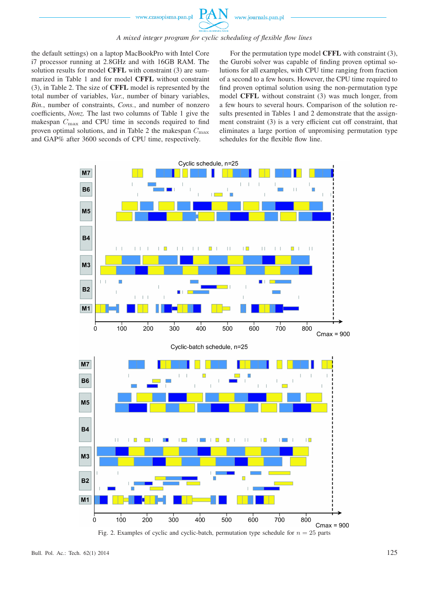

#### *A mixed integer program for cyclic scheduling of flexible flow lines*

the default settings) on a laptop MacBookPro with Intel Core i7 processor running at 2.8GHz and with 16GB RAM. The solution results for model **CFFL** with constraint (3) are summarized in Table 1 and for model **CFFL** without constraint (3), in Table 2. The size of **CFFL** model is represented by the total number of variables, *Var.*, number of binary variables, *Bin.*, number of constraints, *Cons.*, and number of nonzero coefficients, *Nonz.* The last two columns of Table 1 give the makespan  $C_{\text{max}}$  and CPU time in seconds required to find proven optimal solutions, and in Table 2 the makespan  $C_{\text{max}}$ and GAP% after 3600 seconds of CPU time, respectively.

For the permutation type model **CFFL** with constraint (3), the Gurobi solver was capable of finding proven optimal solutions for all examples, with CPU time ranging from fraction of a second to a few hours. However, the CPU time required to find proven optimal solution using the non-permutation type model **CFFL** without constraint (3) was much longer, from a few hours to several hours. Comparison of the solution results presented in Tables 1 and 2 demonstrate that the assignment constraint (3) is a very efficient cut off constraint, that eliminates a large portion of unpromising permutation type schedules for the flexible flow line.



Fig. 2. Examples of cyclic and cyclic-batch, permutation type schedule for  $n = 25$  parts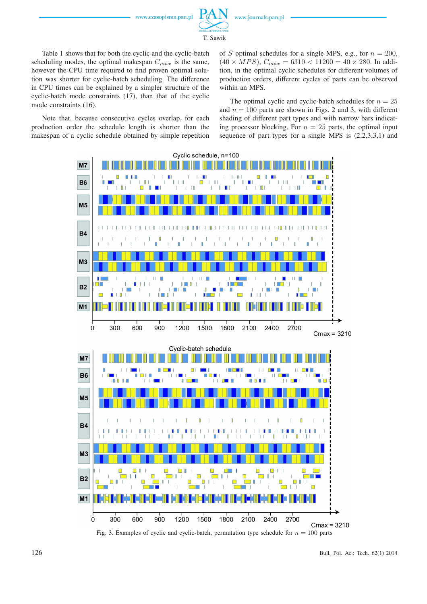

T. Sawik

Table 1 shows that for both the cyclic and the cyclic-batch scheduling modes, the optimal makespan  $C_{max}$  is the same, however the CPU time required to find proven optimal solution was shorter for cyclic-batch scheduling. The difference in CPU times can be explained by a simpler structure of the cyclic-batch mode constraints (17), than that of the cyclic mode constraints (16).

Note that, because consecutive cycles overlap, for each production order the schedule length is shorter than the makespan of a cyclic schedule obtained by simple repetition of S optimal schedules for a single MPS, e.g., for  $n = 200$ ,  $(40 \times MPS)$ ,  $C_{max} = 6310 < 11200 = 40 \times 280$ . In addition, in the optimal cyclic schedules for different volumes of production orders, different cycles of parts can be observed within an MPS.

The optimal cyclic and cyclic-batch schedules for  $n = 25$ and  $n = 100$  parts are shown in Figs. 2 and 3, with different shading of different part types and with narrow bars indicating processor blocking. For  $n = 25$  parts, the optimal input sequence of part types for a single MPS is (2,2,3,3,1) and



Fig. 3. Examples of cyclic and cyclic-batch, permutation type schedule for  $n = 100$  parts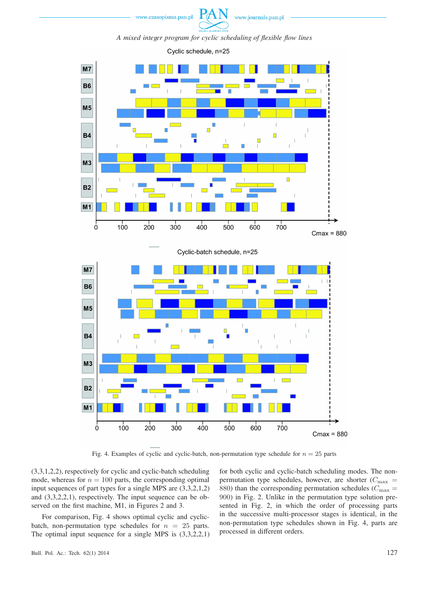



*A mixed integer program for cyclic scheduling of flexible flow lines*





Fig. 4. Examples of cyclic and cyclic-batch, non-permutation type schedule for  $n = 25$  parts

(3,3,1,2,2), respectively for cyclic and cyclic-batch scheduling mode, whereas for  $n = 100$  parts, the corresponding optimal input sequences of part types for a single MPS are (3,3,2,1,2) and (3,3,2,2,1), respectively. The input sequence can be observed on the first machine, M1, in Figures 2 and 3.

For comparison, Fig. 4 shows optimal cyclic and cyclicbatch, non-permutation type schedules for  $n = 25$  parts. The optimal input sequence for a single MPS is (3,3,2,2,1) for both cyclic and cyclic-batch scheduling modes. The nonpermutation type schedules, however, are shorter  $(C_{\text{max}} =$ 880) than the corresponding permutation schedules ( $C_{\text{max}} =$ 900) in Fig. 2. Unlike in the permutation type solution presented in Fig. 2, in which the order of processing parts in the successive multi-processor stages is identical, in the non-permutation type schedules shown in Fig. 4, parts are processed in different orders.